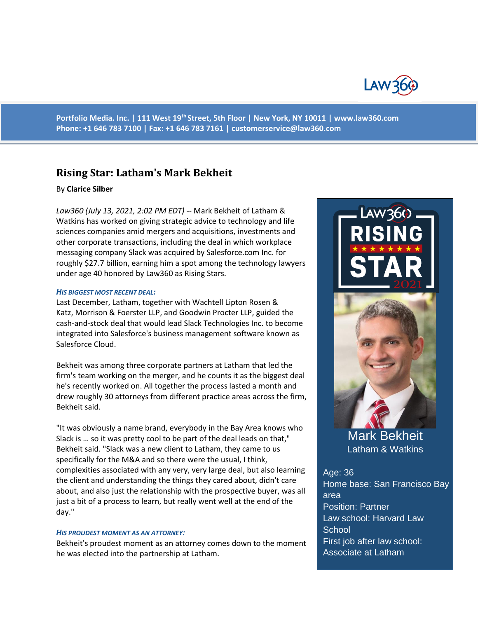

**Portfolio Media. Inc. | 111 West 19th Street, 5th Floor | New York, NY 10011 | www.law360.com Phone: +1 646 783 7100 | Fax: +1 646 783 7161 | customerservice@law360.com**

# **Rising Star: Latham's Mark Bekheit**

#### By **Clarice Silber**

*Law360 (July 13, 2021, 2:02 PM EDT)* -- Mark Bekheit of Latham & Watkins has worked on giving strategic advice to technology and life sciences companies amid mergers and acquisitions, investments and other corporate transactions, including the deal in which workplace messaging company Slack was acquired by Salesforce.com Inc. for roughly \$27.7 billion, earning him a spot among the technology lawyers under age 40 honored by Law360 as Rising Stars.

#### *HIS BIGGEST MOST RECENT DEAL:*

Last December, Latham, together with Wachtell Lipton Rosen & Katz, Morrison & Foerster LLP, and Goodwin Procter LLP, guided the cash-and-stock deal that would lead Slack Technologies Inc. to become integrated into Salesforce's business management software known as Salesforce Cloud.

Bekheit was among three corporate partners at Latham that led the firm's team working on the merger, and he counts it as the biggest deal he's recently worked on. All together the process lasted a month and drew roughly 30 attorneys from different practice areas across the firm, Bekheit said.

"It was obviously a name brand, everybody in the Bay Area knows who Slack is … so it was pretty cool to be part of the deal leads on that," Bekheit said. "Slack was a new client to Latham, they came to us specifically for the M&A and so there were the usual, I think, complexities associated with any very, very large deal, but also learning the client and understanding the things they cared about, didn't care about, and also just the relationship with the prospective buyer, was all just a bit of a process to learn, but really went well at the end of the day."

#### *HIS PROUDEST MOMENT AS AN ATTORNEY:*

Bekheit's proudest moment as an attorney comes down to the moment he was elected into the partnership at Latham.



Mark Bekheit Latham & Watkins

Age: 36 Home base: San Francisco Bay area Position: Partner Law school: Harvard Law **School** First job after law school: Associate at Latham